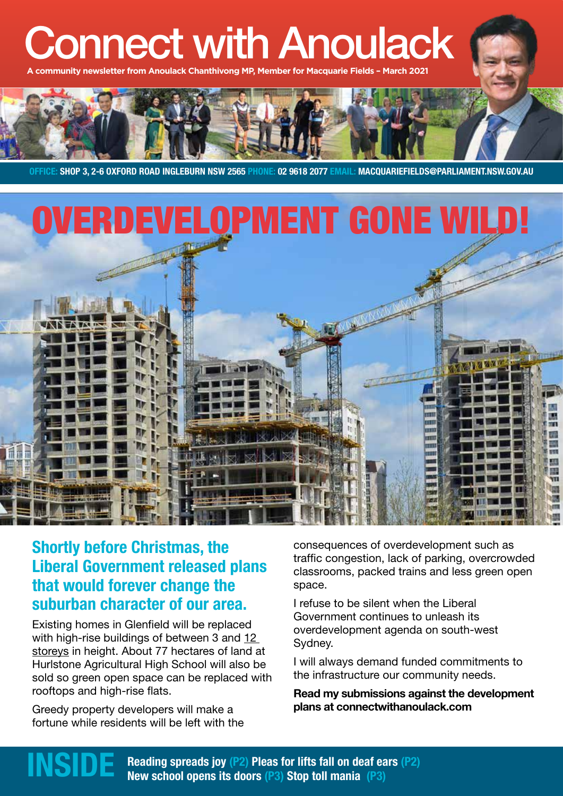# Connect with Anoulack

community newsletter from Anoulack Chanthivong MP, Member for Macquarie Fields



**OFFICE: SHOP 3, 2-6 OXFORD ROAD INGLEBURN NSW 2565 PHONE: 02 9618 2077 EMAIL: MACQUARIEFIELDS@PARLIAMENT.NSW.GOV.AU**



## **Shortly before Christmas, the Liberal Government released plans that would forever change the suburban character of our area.**

Existing homes in Glenfield will be replaced with high-rise buildings of between 3 and 12 storeys in height. About 77 hectares of land at Hurlstone Agricultural High School will also be sold so green open space can be replaced with rooftops and high-rise flats.

Greedy property developers will make a fortune while residents will be left with the consequences of overdevelopment such as traffic congestion, lack of parking, overcrowded classrooms, packed trains and less green open space.

I refuse to be silent when the Liberal Government continues to unleash its overdevelopment agenda on south-west Sydney.

I will always demand funded commitments to the infrastructure our community needs.

**Read my submissions against the development plans at connectwithanoulack.com**

**Reading spreads joy (P2) Pleas for lifts fall on deaf ears (P2)**<br>New school opens its doors (P3) Stop toll mania (P3)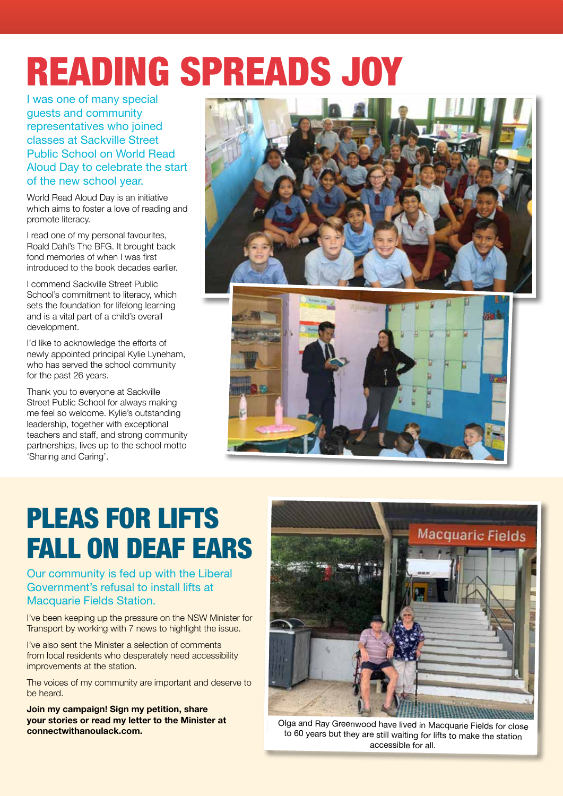# READING SPREADS JOY

I was one of many special guests and community representatives who joined classes at Sackville Street Public School on World Read Aloud Day to celebrate the start of the new school year.

World Read Aloud Day is an initiative which aims to foster a love of reading and promote literacy.

I read one of my personal favourites, Roald Dahl's The BFG. It brought back fond memories of when I was first introduced to the book decades earlier.

I commend Sackville Street Public School's commitment to literacy, which sets the foundation for lifelong learning and is a vital part of a child's overall development.

I'd like to acknowledge the efforts of newly appointed principal Kylie Lyneham, who has served the school community for the past 26 years.

Thank you to everyone at Sackville Street Public School for always making me feel so welcome. Kylie's outstanding leadership, together with exceptional teachers and staff, and strong community partnerships, lives up to the school motto 'Sharing and Caring'.



## PLEAS FOR LIFTS FALL ON DEAF EARS

Our community is fed up with the Liberal Government's refusal to install lifts at Macquarie Fields Station.

I've been keeping up the pressure on the NSW Minister for Transport by working with 7 news to highlight the issue.

I've also sent the Minister a selection of comments from local residents who desperately need accessibility improvements at the station.

The voices of my community are important and deserve to be heard.

**Join my campaign! Sign my petition, share your stories or read my letter to the Minister at connectwithanoulack.com.** 



Olga and Ray Greenwood have lived in Macquarie Fields for close to 60 years but they are still waiting for lifts to make the station accessible for all.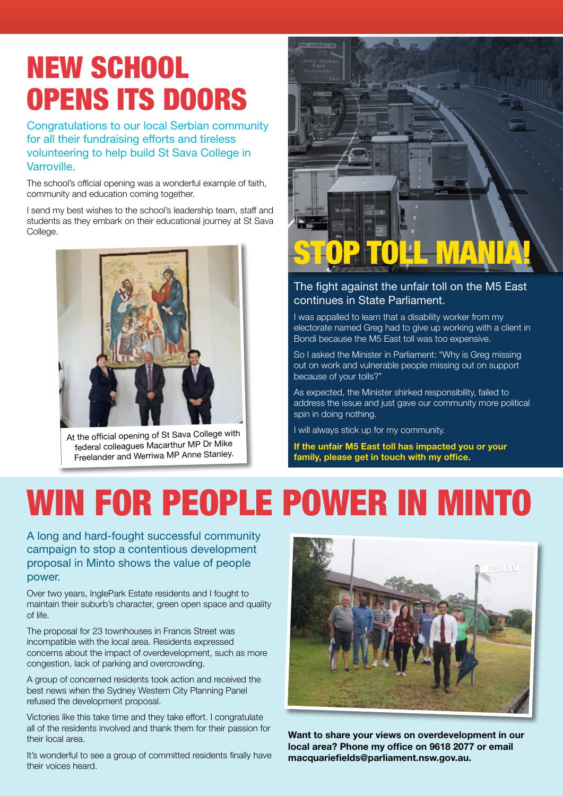## NEW SCHOOL OPENS ITS DOORS

Congratulations to our local Serbian community for all their fundraising efforts and tireless volunteering to help build St Sava College in Varroville.

The school's official opening was a wonderful example of faith, community and education coming together.

I send my best wishes to the school's leadership team, staff and students as they embark on their educational journey at St Sava College.



At the official opening of St Sava College with federal colleagues Macarthur MP Dr Mike Freelander and Werriwa MP Anne Stanley.



### The fight against the unfair toll on the M5 East continues in State Parliament.

I was appalled to learn that a disability worker from my electorate named Greg had to give up working with a client in Bondi because the M5 East toll was too expensive.

So I asked the Minister in Parliament: "Why is Greg missing out on work and vulnerable people missing out on support because of your tolls?"

As expected, the Minister shirked responsibility, failed to address the issue and just gave our community more political spin in doing nothing.

I will always stick up for my community.

**If the unfair M5 East toll has impacted you or your family, please get in touch with my office.** 

# WIN FOR PEOPLE POWER IN MINTO

A long and hard-fought successful community campaign to stop a contentious development proposal in Minto shows the value of people power.

Over two years, InglePark Estate residents and I fought to maintain their suburb's character, green open space and quality of life.

The proposal for 23 townhouses in Francis Street was incompatible with the local area. Residents expressed concerns about the impact of overdevelopment, such as more congestion, lack of parking and overcrowding.

A group of concerned residents took action and received the best news when the Sydney Western City Planning Panel refused the development proposal.

Victories like this take time and they take effort. I congratulate all of the residents involved and thank them for their passion for their local area.

It's wonderful to see a group of committed residents finally have their voices heard.



**Want to share your views on overdevelopment in our local area? Phone my office on 9618 2077 or email macquariefields@parliament.nsw.gov.au.**